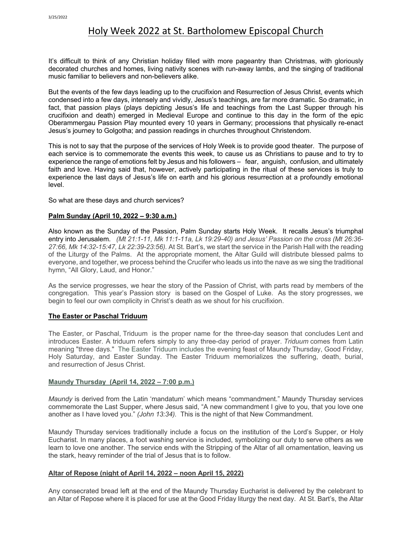# Holy Week 2022 at St. Bartholomew Episcopal Church

It's difficult to think of any Christian holiday filled with more pageantry than Christmas, with gloriously decorated churches and homes, living nativity scenes with run-away lambs, and the singing of traditional music familiar to believers and non-believers alike.

But the events of the few days leading up to the crucifixion and Resurrection of Jesus Christ, events which condensed into a few days, intensely and vividly, Jesus's teachings, are far more dramatic. So dramatic, in fact, that passion plays (plays depicting Jesus's life and teachings from the Last Supper through his crucifixion and death) emerged in Medieval Europe and continue to this day in the form of the epic Oberammergau Passion Play mounted every 10 years in Germany; processions that physically re-enact Jesus's journey to Golgotha; and passion readings in churches throughout Christendom.

This is not to say that the purpose of the services of Holy Week is to provide good theater. The purpose of each service is to commemorate the events this week, to cause us as Christians to pause and to try to experience the range of emotions felt by Jesus and his followers – fear, anguish, confusion, and ultimately faith and love. Having said that, however, actively participating in the ritual of these services is truly to experience the last days of Jesus's life on earth and his glorious resurrection at a profoundly emotional level.

So what are these days and church services?

#### **Palm Sunday (April 10, 2022 – 9:30 a.m.)**

Also known as the Sunday of the Passion, Palm Sunday starts Holy Week. It recalls Jesus's triumphal entry into Jerusalem. *(Mt 21:1-11, Mk 11:1-11a, Lk 19:29-40) and Jesus' Passion on the cross (Mt 26:36- 27:66, Mk 14:32-15:47, Lk 22:39-23:56).* At St. Bart's, we start the service in the Parish Hall with the reading of the Liturgy of the Palms. At the appropriate moment, the Altar Guild will distribute blessed palms to everyone, and together, we process behind the Crucifer who leads us into the nave as we sing the traditional hymn, "All Glory, Laud, and Honor."

As the service progresses, we hear the story of the Passion of Christ, with parts read by members of the congregation. This year's Passion story is based on the Gospel of Luke. As the story progresses, we begin to feel our own complicity in Christ's death as we shout for his crucifixion.

## **The Easter or Paschal Triduum**

The Easter, or Paschal, Triduum is the proper name for the three-day season that concludes Lent and introduces Easter. A triduum refers simply to any three-day period of prayer. *Triduum* comes from Latin meaning "three days." The Easter Triduum includes the evening feast of Maundy Thursday, Good Friday, Holy Saturday, and Easter Sunday. The Easter Triduum memorializes the suffering, death, burial, and resurrection of Jesus Christ.

#### **Maundy Thursday (April 14, 2022 – 7:00 p.m.)**

*Maundy* is derived from the Latin 'mandatum' which means "commandment." Maundy Thursday services commemorate the Last Supper, where Jesus said, "A new commandment I give to you, that you love one another as I have loved you." *(John 13:34).* This is the night of that New Commandment.

Maundy Thursday services traditionally include a focus on the institution of the Lord's Supper, or Holy Eucharist. In many places, a foot washing service is included, symbolizing our duty to serve others as we learn to love one another. The service ends with the Stripping of the Altar of all ornamentation, leaving us the stark, heavy reminder of the trial of Jesus that is to follow.

#### **Altar of Repose (night of April 14, 2022 – noon April 15, 2022)**

Any consecrated bread left at the end of the Maundy Thursday Eucharist is delivered by the celebrant to an Altar of Repose where it is placed for use at the Good Friday liturgy the next day. At St. Bart's, the Altar